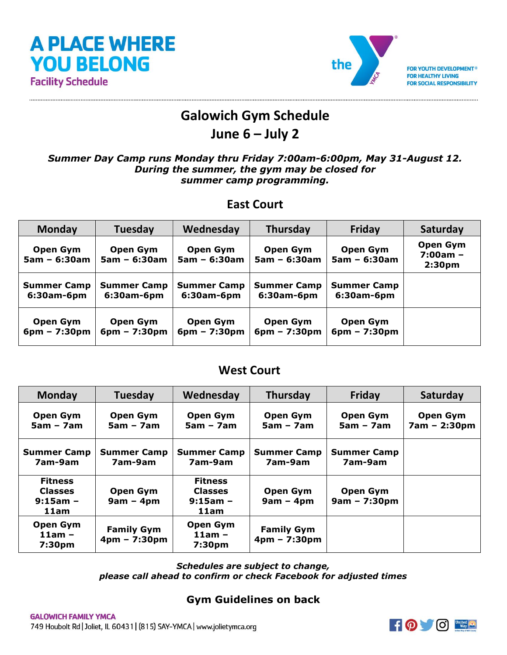



FOR YOUTH DEVELOPMENT® **FOR HEALTHY LIVING FOR SOCIAL RESPONSIBILITY** 

# **Galowich Gym Schedule**

## **June 6 – July 2**

#### *Summer Day Camp runs Monday thru Friday 7:00am-6:00pm, May 31-August 12. During the summer, the gym may be closed for summer camp programming.*

## **East Court**

| <b>Monday</b>              | Tuesday                    | Wednesday                  | <b>Thursday</b>            | <b>Friday</b>              | Saturday                                     |
|----------------------------|----------------------------|----------------------------|----------------------------|----------------------------|----------------------------------------------|
| Open Gym<br>$5am - 6:30am$ | Open Gym<br>$5am - 6:30am$ | Open Gym<br>$5am - 6:30am$ | Open Gym<br>$5am - 6:30am$ | Open Gym<br>$5am - 6:30am$ | Open Gym<br>$7:00am -$<br>2:30 <sub>pm</sub> |
| <b>Summer Camp</b>         | <b>Summer Camp</b>         | <b>Summer Camp</b>         | <b>Summer Camp</b>         | <b>Summer Camp</b>         |                                              |
| $6:30$ am- $6$ pm          | $6:30$ am- $6$ pm          | $6:30$ am-6pm              | $6:30$ am- $6$ pm          | 6:30am-6pm                 |                                              |
| Open Gym                   | Open Gym                   | Open Gym                   | Open Gym                   | Open Gym                   |                                              |
| $6pm - 7:30pm$             | $6pm - 7:30pm$             | $6pm - 7:30pm$             | $6pm - 7:30pm$             | $6pm - 7:30pm$             |                                              |

### **West Court**

| <b>Monday</b>                                          | Tuesday                             | Wednesday                                              | Thursday                            | Friday                            | Saturday                        |
|--------------------------------------------------------|-------------------------------------|--------------------------------------------------------|-------------------------------------|-----------------------------------|---------------------------------|
| Open Gym<br>$5am - 7am$                                | Open Gym<br>$5am - 7am$             | Open Gym<br>$5am - 7am$                                | Open Gym<br>$5am - 7am$             | <b>Open Gym</b><br>$5am - 7am$    | <b>Open Gym</b><br>7am - 2:30pm |
| <b>Summer Camp</b><br>7am-9am                          | <b>Summer Camp</b><br>7am-9am       | <b>Summer Camp</b><br>7am-9am                          | <b>Summer Camp</b><br>7am-9am       | <b>Summer Camp</b><br>7am-9am     |                                 |
| <b>Fitness</b><br><b>Classes</b><br>$9:15am -$<br>11am | Open Gym<br>$9am - 4pm$             | <b>Fitness</b><br><b>Classes</b><br>$9:15am -$<br>11am | Open Gym<br>$9am - 4pm$             | <b>Open Gym</b><br>$9am - 7:30pm$ |                                 |
| <b>Open Gym</b><br>$11am -$<br>7:30pm                  | <b>Family Gym</b><br>$4pm - 7:30pm$ | Open Gym<br>$11am -$<br>7:30pm                         | <b>Family Gym</b><br>$4pm - 7:30pm$ |                                   |                                 |

*Schedules are subject to change, please call ahead to confirm or check Facebook for adjusted times*

#### **Gym Guidelines on back**